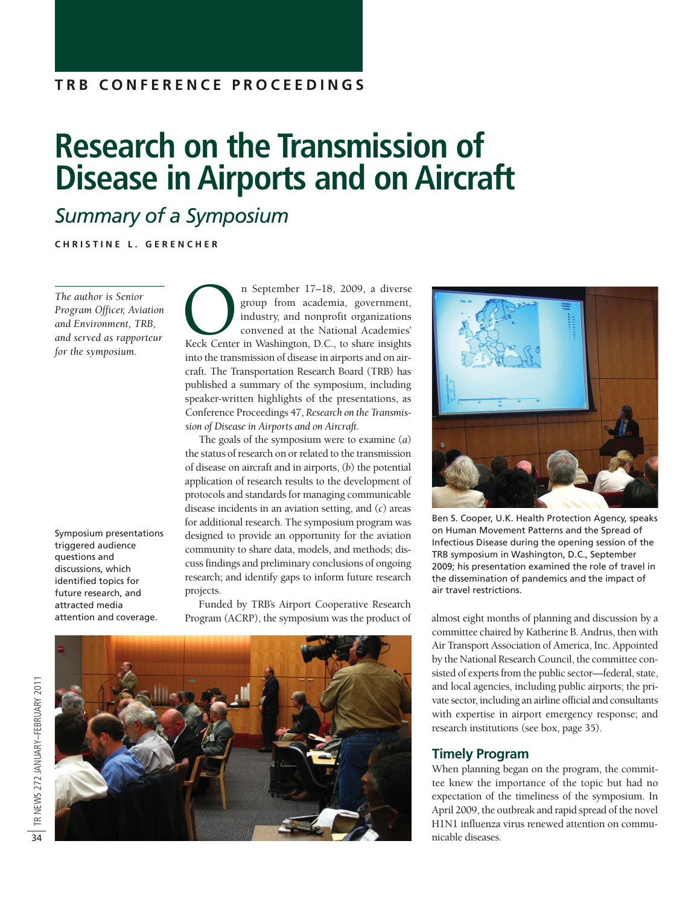### **T R B C O N F E R E N C E P R O C E E D I N G S**

# **Research on the Transmission of Disease in Airports and on Aircraft**

## *Summary of a Symposium*

**C H R I S T I N E L . G E R E N C H E R**

*The author is Senior Program Officer, Aviation and Environment, TRB, and served as rapporteur for the symposium.*

Symposium presentations triggered audience questions and discussions, which identified topics for future research, and attracted media attention and coverage.

n September 17–18, 2009, a diverse<br>group from academia, government,<br>industry, and nonprofit organizations<br>convened at the National Academies'<br>Keck Center in Washington, D.C., to share insights group from academia, government, industry, and nonprofit organizations convened at the National Academies' into the transmission of disease in airports and on aircraft. The Transportation Research Board (TRB) has published a summary of the symposium, including speaker-written highlights of the presentations, as Conference Proceedings 47, *Research on the Transmission of Disease in Airports and on Aircraft.*

The goals of the symposium were to examine (*a*) the status of research on or related to the transmission of disease on aircraft and in airports, (*b*) the potential application of research results to the development of protocols and standards for managing communicable disease incidents in an aviation setting, and (*c*) areas for additional research. The symposium program was designed to provide an opportunity for the aviation community to share data, models, and methods; discuss findings and preliminary conclusions of ongoing research; and identify gaps to inform future research projects.

Funded by TRB's Airport Cooperative Research





Ben S. Cooper, U.K. Health Protection Agency, speaks on Human Movement Patterns and the Spread of Infectious Disease during the opening session of the TRB symposium in Washington, D.C., September 2009; his presentation examined the role of travel in the dissemination of pandemics and the impact of air travel restrictions.

Program (ACRP), the symposium was the product of almost eight months of planning and discussion by a committee chaired by Katherine B. Andrus, then with Air Transport Association of America, Inc. Appointed by the National Research Council, the committee consisted of experts from the public sector—federal, state, and local agencies, including public airports; the private sector, including an airline official and consultants with expertise in airport emergency response; and research institutions (see box, page 35).

#### **Timely Program**

When planning began on the program, the committee knew the importance of the topic but had no expectation of the timeliness of the symposium. In April 2009, the outbreak and rapid spread of the novel H1N1 influenza virus renewed attention on communicable diseases.